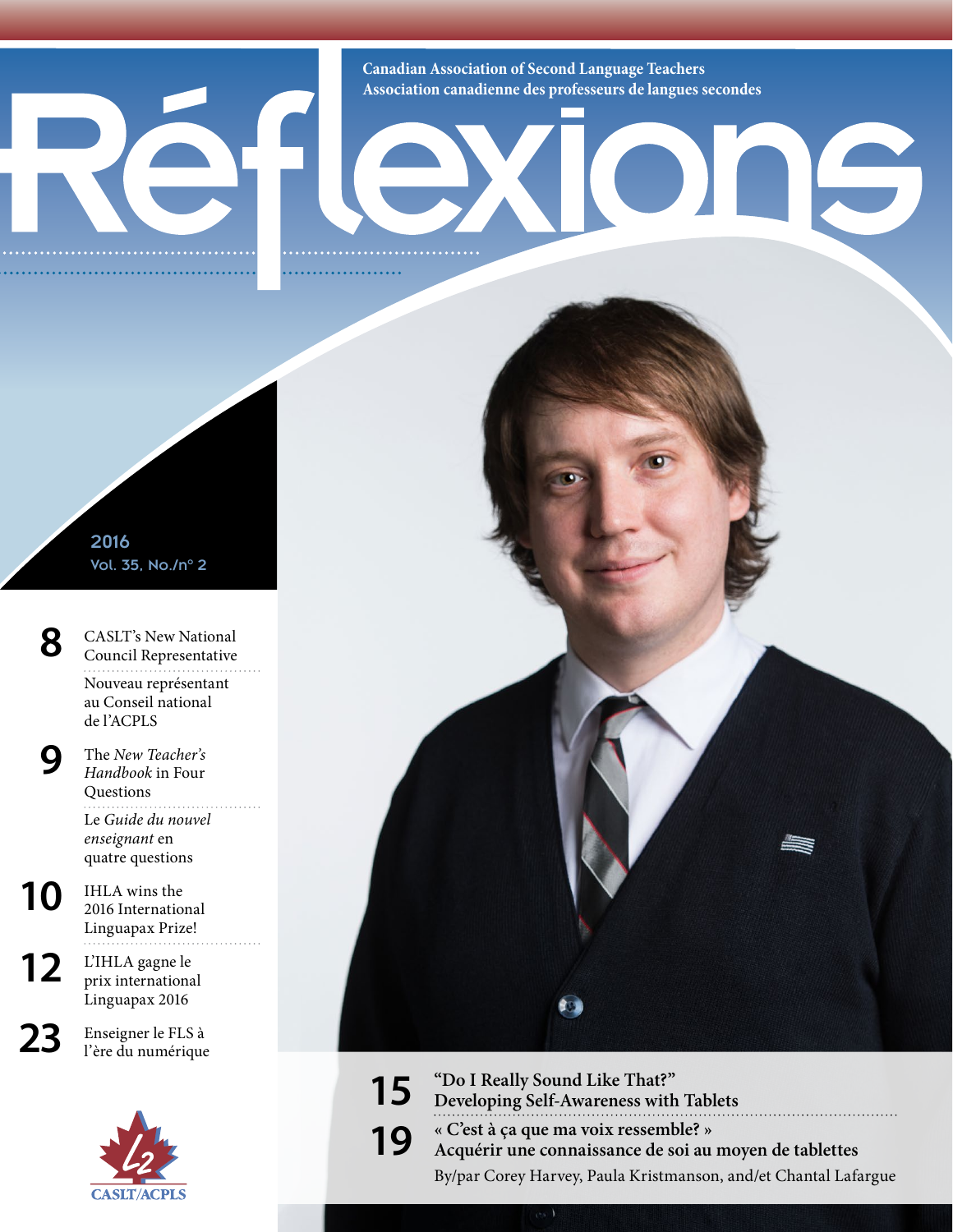**Canadian Association of Second Language Teachers Association canadienne des professeurs de langues secondes**

IS

# 2016 Vol. 35, No./n° 2

8 CASLT's New National Council Representative Nouveau représentant au Conseil national de l'ACPLS



Le *[Guide du nouvel](#page--1-3)  [enseignant](#page--1-3)* en [quatre questions](#page--1-3)

[10](#page--1-4) [IHLA wins the](#page--1-4) 2016 International [Linguapax Prize!](#page--1-4)

12 L'IHLA gagne le prix international Linguapax 2016

**23** Enseigner le FLS à l'ère du numérique



**[15](#page--1-0) ["Do I Really Sound Like That?"](#page--1-0) [Developing Self-Awareness with Tablets](#page--1-1)  [19](#page--1-2) [« C'est à ça que ma voix ressemble? »](#page--1-2)  Acquérir une connaissance de soi au moyen de tablettes** By/par Corey Harvey, Paula Kristmanson, and/et Chantal Lafargue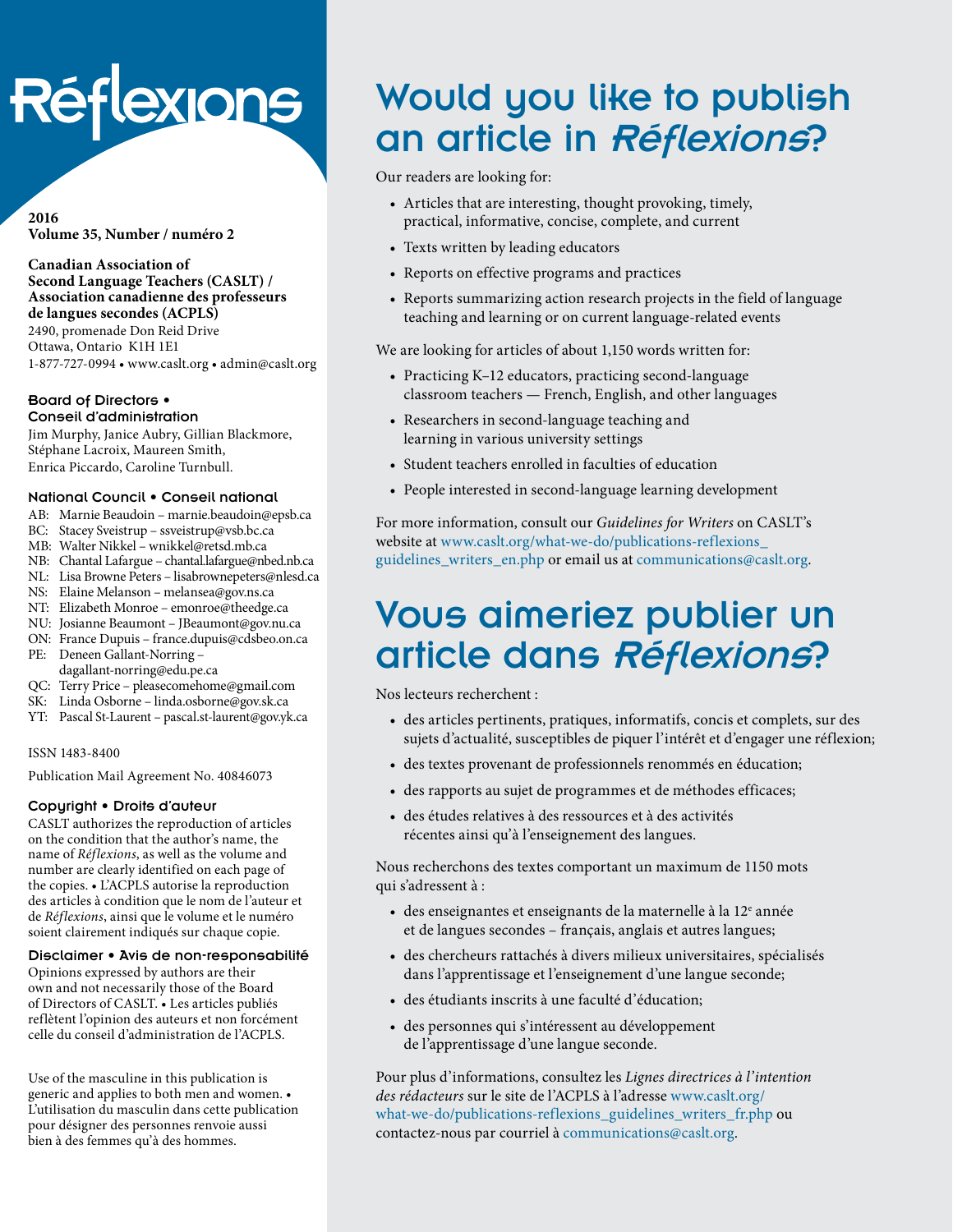# Réflexions

### **2016 Volume 35, Number / numéro 2**

**Canadian Association of Second Language Teachers (CASLT) / Association canadienne des professeurs de langues secondes (ACPLS)** 2490, promenade Don Reid Drive

Ottawa, Ontario K1H 1E1 1-877-727-0994 • [www.caslt.org](http://www.caslt.org) • [admin@caslt.org](mailto:admin%40caslt.org?subject=)

### Board of Directors • Conseil d'administration

Jim Murphy, Janice Aubry, Gillian Blackmore, Stéphane Lacroix, Maureen Smith, Enrica Piccardo, Caroline Turnbull.

### National Council • Conseil national

- AB: Marnie Beaudoin [marnie.beaudoin@epsb.ca](mailto:marnie.beaudoin%40epsb.ca?subject=)
- BC: Stacey Sveistrup – [ssveistrup@vsb.bc.ca](mailto:ssveistrup%40vsb.bc.ca?subject=)
- MB: Walter Nikkel [wnikkel@retsd.mb.ca](mailto:wnikkel%40retsd.mb.ca?subject=)
- NB: Chantal Lafargue – [chantal.lafargue@nbed.nb.ca](mailto:chantal.lafargue%40nbed.nb.ca?subject=)
- NL: Lisa Browne Peters [lisabrownepeters@](mailto:lisabrownepeters%40cdli.ca?subject=)nlesd.ca
- NS: Elaine Melanson – [melansea@gov.ns.ca](mailto:melansea%40gov.ns.ca?subject=)
- NT: Elizabeth Monroe [emonroe@theedge.ca](mailto:emonroe%40theedge.ca?subject=)
- NU: Josianne Beaumont – [JBeaumont@gov.nu.ca](mailto:JBeaumont%40gov.nu.ca?subject=) ON: France Dupuis – [france.dupuis@cdsbeo.on.ca](mailto:france.dupuis%40cdsbeo.on.ca?subject=)
- PE: Deneen Gallant-Norring –
- [dagallant-norring@edu.pe.ca](mailto:dagallant-norring%40edu.pe.ca?subject=)
- QC: Terry Price – [pleasecomehome@gmail.com](mailto:pleasecomehome%40gmail.com?subject=)
- SK: Linda Osborne – [linda.osborne@gov.sk.ca](mailto:linda.osborne%40gov.sk.ca?subject=)
- YT: Pascal St-Laurent – [pascal.st-laurent@gov.yk.ca](mailto:pascal.st-laurent%40gov.yk.ca?subject=)

### ISSN 1483-8400

Publication Mail Agreement No. 40846073

### Copyright • Droits d'auteur

CASLT authorizes the reproduction of articles on the condition that the author's name, the name of *Réflexions*, as well as the volume and number are clearly identified on each page of the copies. • L'ACPLS autorise la reproduction des articles à condition que le nom de l'auteur et de *Réflexions*, ainsi que le volume et le numéro soient clairement indiqués sur chaque copie.

### Disclaimer • Avis de non-responsabilité

Opinions expressed by authors are their own and not necessarily those of the Board of Directors of CASLT. • Les articles publiés reflètent l'opinion des auteurs et non forcément celle du conseil d'administration de l'ACPLS.

Use of the masculine in this publication is generic and applies to both men and women. • L'utilisation du masculin dans cette publication pour désigner des personnes renvoie aussi bien à des femmes qu'à des hommes.

# Would you like to publish an article in Réflexions?

Our readers are looking for:

- Articles that are interesting, thought provoking, timely, practical, informative, concise, complete, and current
- Texts written by leading educators
- Reports on effective programs and practices
- Reports summarizing action research projects in the field of language teaching and learning or on current language-related events

We are looking for articles of about 1,150 words written for:

- Practicing K–12 educators, practicing second-language classroom teachers — French, English, and other languages
- Researchers in second-language teaching and learning in various university settings
- Student teachers enrolled in faculties of education
- People interested in second-language learning development

For more information, consult our *Guidelines for Writers* on CASLT's website at www.caslt.org/what-we-do/publications-reflexions [guidelines\\_writers\\_en.php](http://www.caslt.org/what-we-do/publications-reflexions_guidelines_writers_en.php) or email us at communications[@caslt.org](mailto:communications%40caslt.org?subject=).

# Vous aimeriez publier un article dans Réflexions?

Nos lecteurs recherchent :

- des articles pertinents, pratiques, informatifs, concis et complets, sur des sujets d'actualité, susceptibles de piquer l'intérêt et d'engager une réflexion;
- des textes provenant de professionnels renommés en éducation;
- des rapports au sujet de programmes et de méthodes efficaces;
- des études relatives à des ressources et à des activités récentes ainsi qu'à l'enseignement des langues.

Nous recherchons des textes comportant un maximum de 1150 mots qui s'adressent à :

- des enseignantes et enseignants de la maternelle à la  $12^e$  année et de langues secondes – français, anglais et autres langues;
- des chercheurs rattachés à divers milieux universitaires, spécialisés dans l'apprentissage et l'enseignement d'une langue seconde;
- des étudiants inscrits à une faculté d'éducation;
- des personnes qui s'intéressent au développement de l'apprentissage d'une langue seconde.

Pour plus d'informations, consultez les *Lignes directrices à l'intention des rédacteurs* sur le site de l'ACPLS à l'adresse [www.caslt.org/](www.caslt.org/what-we-do/publications-reflexions_guidelines_writers_fr.php) [what-we-do/publications-reflexions\\_guidelines\\_writers\\_fr.php](www.caslt.org/what-we-do/publications-reflexions_guidelines_writers_fr.php) ou contactez-nous par courriel à communication[s@caslt.org.](mailto:communications%40caslt.org?subject=)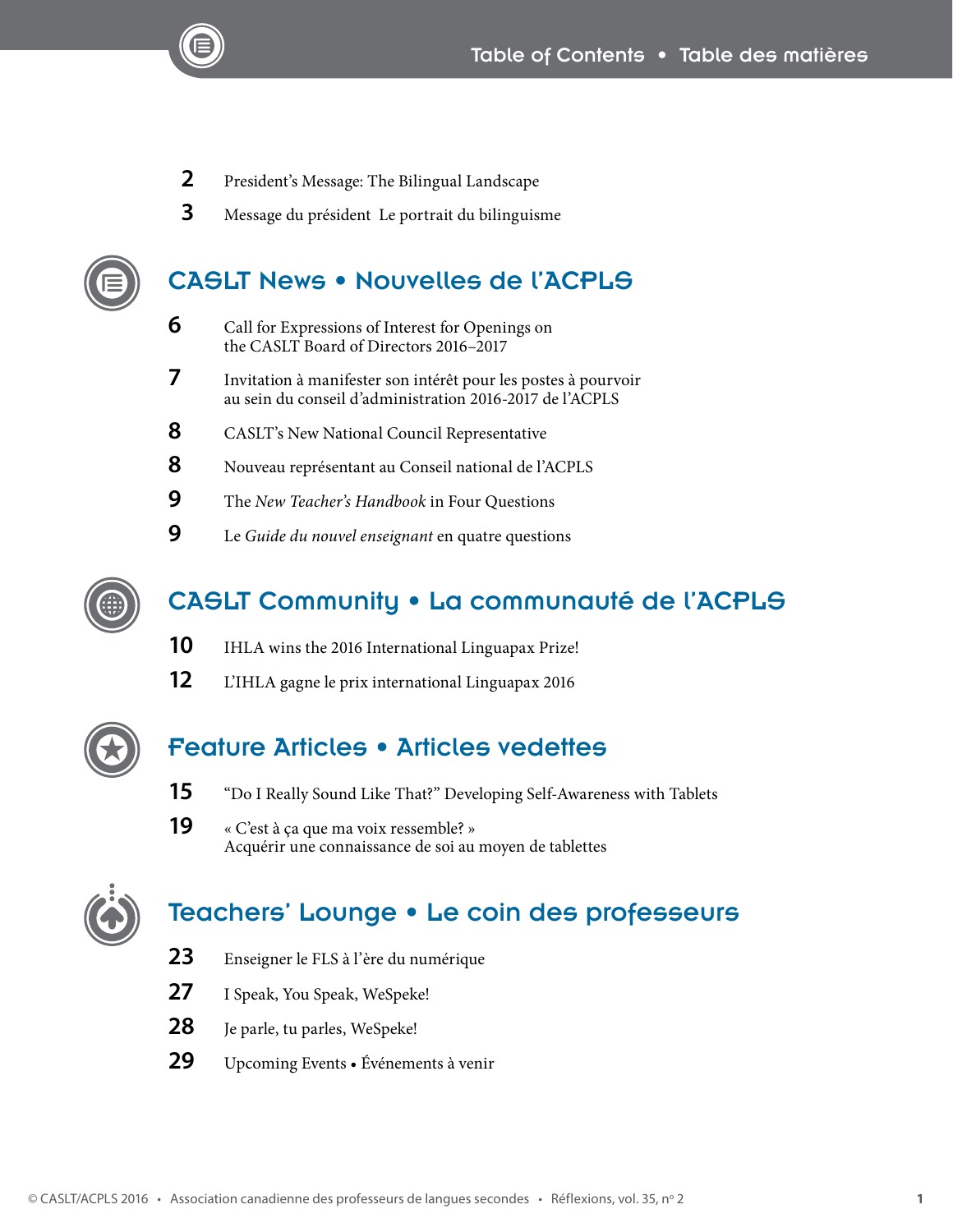

- President's Message: [The Bilingual Landscape](#page-3-0)
- Message du président  [Le portrait du bilinguisme](#page-4-0)

# [CASLT News • Nouvelles de l'ACPLS](#page--1-5)

- [Call for Expressions of Interest for Openings on](#page--1-4)  [the CASLT Board of Directors 2016–2017](#page--1-4)
- Invitation à manifester son intérêt pour les postes à pourvoir au sein du conseil d'administration 2016-2017 de l'ACPLS
- CASLT's New National Council Representative
- Nouveau représentant au Conseil national de l'ACPLS
- The *New Teacher's Handbook* in Four Questions
- Le *[Guide du nouvel enseignant](#page--1-3)* en quatre questions



# [CASLT Community • La communauté de l'ACPLS](#page--1-5)

- [IHLA wins the 2016 International Linguapax Prize!](#page--1-4)
- L'IHLA gagne le prix international Linguapax 2016



# [Feature Articles • Articles vedettes](#page--1-5)

- ["Do I Really Sound Like That?"](#page--1-0) [Developing Self-Awareness with Tablets](#page--1-1)
- [« C'est à ça que ma voix ressemble? »](#page--1-2)  Acquérir une connaissance de soi au moyen de tablettes



# [Teachers' Lounge • Le coin des professeurs](#page--1-5)

- Enseigner le FLS à l'ère du numérique
- [I Speak, You Speak, WeSpeke!](#page--1-6)
- [Je parle, tu parles, WeSpeke!](#page--1-6)
- Upcoming Events Événements à venir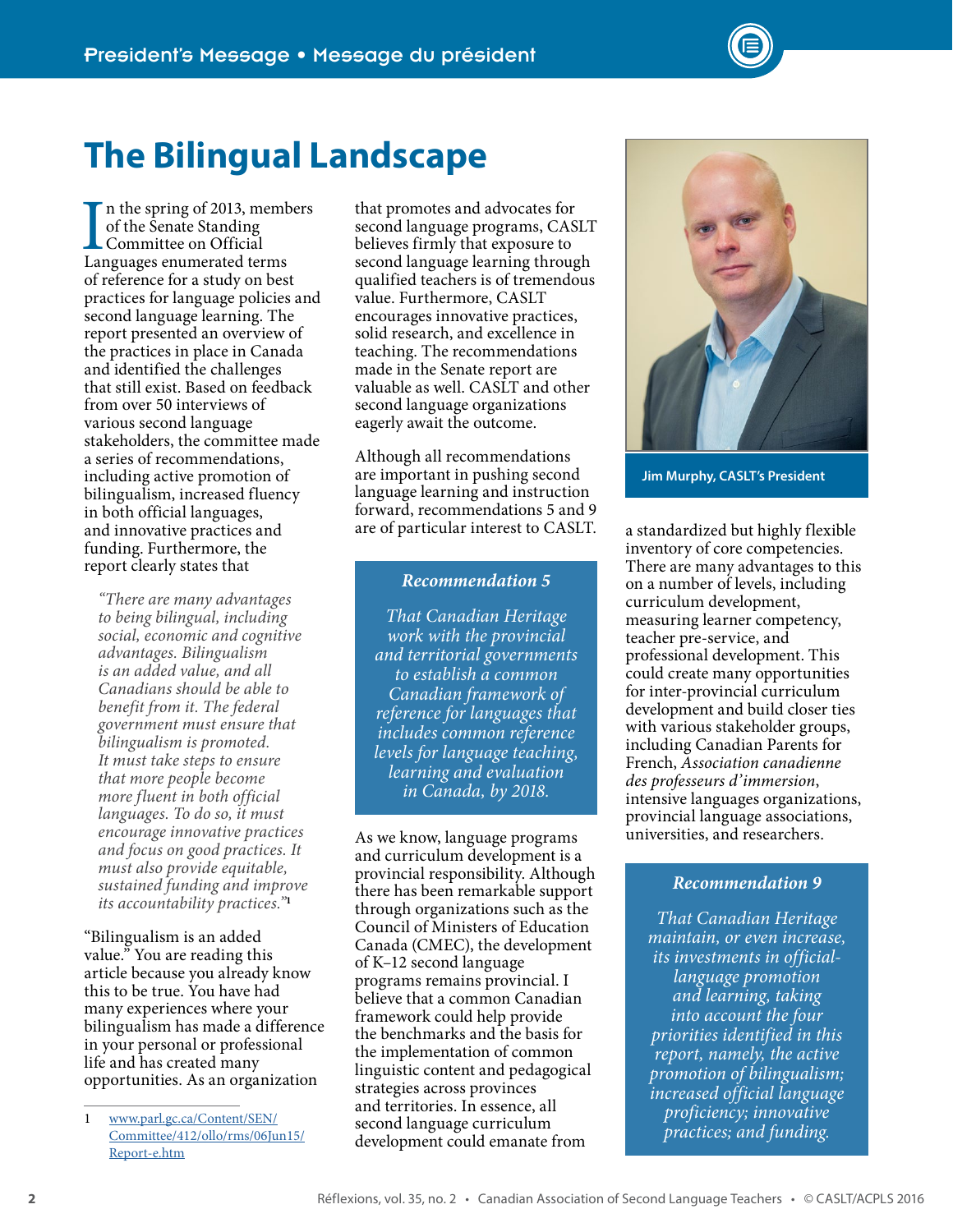<span id="page-3-0"></span>

In the spring of 2013, member of the Senate Standing<br>Committee on Official<br>Languages enumerated terms n the spring of 2013, members of the Senate Standing Committee on Official of reference for a study on best practices for language policies and second language learning. The report presented an overview of the practices in place in Canada and identified the challenges that still exist. Based on feedback from over 50 interviews of various second language stakeholders, the committee made a series of recommendations, including active promotion of bilingualism, increased fluency in both official languages, and innovative practices and funding. Furthermore, the report clearly states that

*"There are many advantages to being bilingual, including social, economic and cognitive advantages. Bilingualism is an added value, and all Canadians should be able to benefit from it. The federal government must ensure that bilingualism is promoted. It must take steps to ensure that more people become more fluent in both official languages. To do so, it must encourage innovative practices and focus on good practices. It must also provide equitable, sustained funding and improve its accountability practices."***<sup>1</sup>**

"Bilingualism is an added value." You are reading this article because you already know this to be true. You have had many experiences where your bilingualism has made a difference in your personal or professional life and has created many opportunities. As an organization

that promotes and advocates for second language programs, CASLT believes firmly that exposure to second language learning through qualified teachers is of tremendous value. Furthermore, CASLT encourages innovative practices, solid research, and excellence in teaching. The recommendations made in the Senate report are valuable as well. CASLT and other second language organizations eagerly await the outcome.

Although all recommendations are important in pushing second language learning and instruction forward, recommendations 5 and 9 are of particular interest to CASLT.

# *Recommendation 5*

*That Canadian Heritage work with the provincial and territorial governments to establish a common Canadian framework of reference for languages that includes common reference levels for language teaching, learning and evaluation in Canada, by 2018.*

As we know, language programs and curriculum development is a provincial responsibility. Although there has been remarkable support through organizations such as the Council of Ministers of Education Canada (CMEC), the development of K–12 second language programs remains provincial. I believe that a common Canadian framework could help provide the benchmarks and the basis for the implementation of common linguistic content and pedagogical strategies across provinces and territories. In essence, all second language curriculum development could emanate from



**Jim Murphy, CASLT's President** 

a standardized but highly flexible inventory of core competencies. There are many advantages to this on a number of levels, including curriculum development, measuring learner competency, teacher pre-service, and professional development. This could create many opportunities for inter-provincial curriculum development and build closer ties with various stakeholder groups, including Canadian Parents for French, *Association canadienne des professeurs d'immersion*, intensive languages organizations, provincial language associations, universities, and researchers.

### *Recommendation 9*

*That Canadian Heritage maintain, or even increase, its investments in officiallanguage promotion and learning, taking into account the four priorities identified in this report, namely, the active promotion of bilingualism; increased official language proficiency; innovative practices; and funding.*

<sup>1</sup> [www.parl.gc.ca/Content/SEN/](http://www.parl.gc.ca/Content/SEN/Committee/412/ollo/rms/06Jun15/Report-e.htm) [Committee/412/ollo/rms/06Jun15/](http://www.parl.gc.ca/Content/SEN/Committee/412/ollo/rms/06Jun15/Report-e.htm) [Report-e.htm](http://www.parl.gc.ca/Content/SEN/Committee/412/ollo/rms/06Jun15/Report-e.htm)